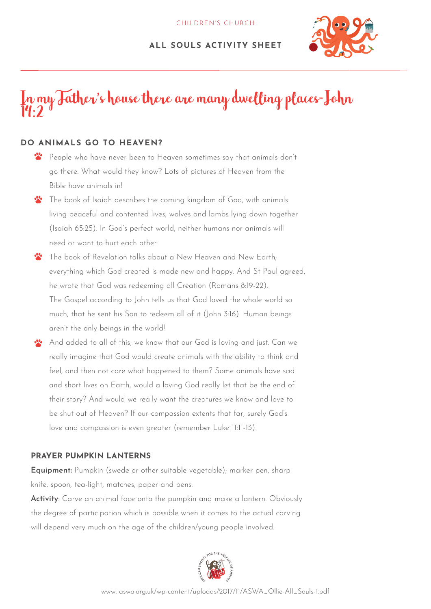## **ALL SOULS ACTIVITY SHEET**



# In my Father's house there are many dwelling places-John 14:2

## **DO ANIMALS GO TO HEAVEN?**

- $\mathbf{r}$ People who have never been to Heaven sometimes say that animals don't go there. What would they know? Lots of pictures of Heaven from the Bible have animals in!
- The book of Isaiah describes the coming kingdom of God, with animals living peaceful and contented lives, wolves and lambs lying down together (Isaiah 65:25). In God's perfect world, neither humans nor animals will need or want to hurt each other.
- $\cdot \cdot$ The book of Revelation talks about a New Heaven and New Earth; everything which God created is made new and happy. And St Paul agreed, he wrote that God was redeeming all Creation (Romans 8:19-22). The Gospel according to John tells us that God loved the whole world so much, that he sent his Son to redeem all of it (John 3:16). Human beings aren't the only beings in the world!
- And added to all of this, we know that our God is loving and just. Can we really imagine that God would create animals with the ability to think and feel, and then not care what happened to them? Some animals have sad and short lives on Earth, would a loving God really let that be the end of their story? And would we really want the creatures we know and love to be shut out of Heaven? If our compassion extents that far, surely God's love and compassion is even greater (remember Luke 11:11-13).

### **PRAYER PUMPKIN LANTERNS**

**Equipment:** Pumpkin (swede or other suitable vegetable); marker pen, sharp knife, spoon, tea-light, matches, paper and pens.

**Activity**: Carve an animal face onto the pumpkin and make a lantern. Obviously the degree of participation which is possible when it comes to the actual carving will depend very much on the age of the children/young people involved.

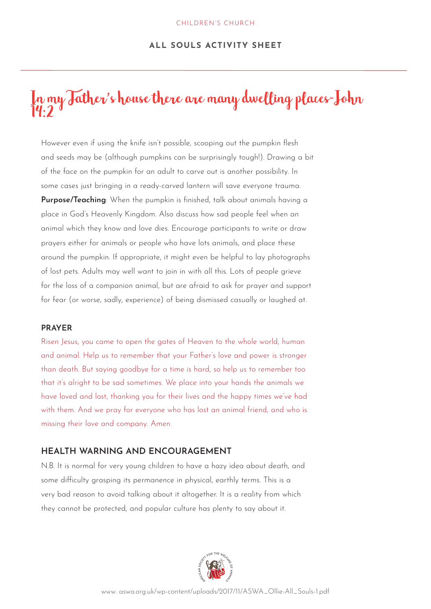#### **ALL SOULS ACTIVITY SHEET**

# In my Father's house there are many dwelling places-John  $\dddot{1}4:2$

However even if using the knife isn't possible, scooping out the pumpkin flesh and seeds may be (although pumpkins can be surprisingly tough!). Drawing a bit of the face on the pumpkin for an adult to carve out is another possibility. In some cases just bringing in a ready-carved lantern will save everyone trauma. **Purpose/Teaching**: When the pumpkin is finished, talk about animals having a place in God's Heavenly Kingdom. Also discuss how sad people feel when an animal which they know and love dies. Encourage participants to write or draw prayers either for animals or people who have lots animals, and place these around the pumpkin. If appropriate, it might even be helpful to lay photographs of lost pets. Adults may well want to join in with all this. Lots of people grieve for the loss of a companion animal, but are afraid to ask for prayer and support for fear (or worse, sadly, experience) of being dismissed casually or laughed at.

#### **PRAYER**

Risen Jesus, you came to open the gates of Heaven to the whole world, human and animal. Help us to remember that your Father's love and power is stronger than death. But saying goodbye for a time is hard, so help us to remember too that it's alright to be sad sometimes. We place into your hands the animals we have loved and lost, thanking you for their lives and the happy times we've had with them. And we pray for everyone who has lost an animal friend, and who is missing their love and company. Amen.

### **HEALTH WARNING AND ENCOURAGEMENT**

N.B. It is normal for very young children to have a hazy idea about death, and some difficulty grasping its permanence in physical, earthly terms. This is a very bad reason to avoid talking about it altogether. It is a reality from which they cannot be protected, and popular culture has plenty to say about it.